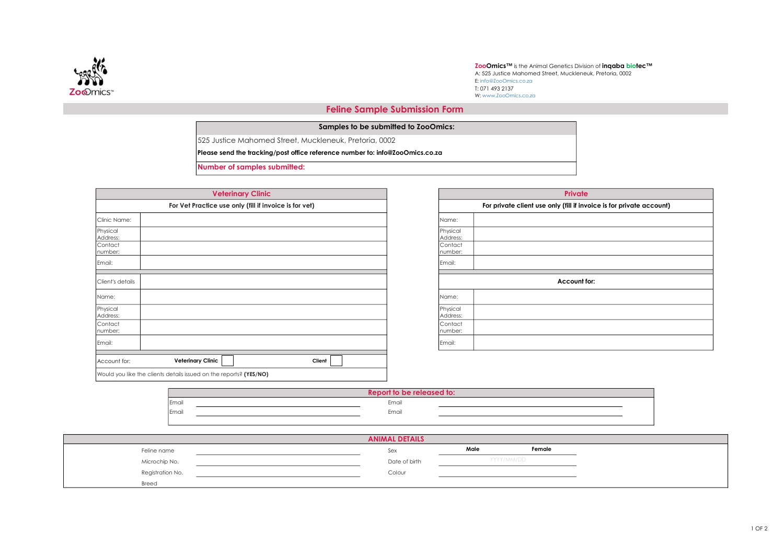

**ZooOmics™** is the Animal Genetics Division of **inqaba biotec™**<br>A: 525 Justice Mahomed Street, Muckleneuk, Pretoria, 0002 E: info@ZooOmics.co.za W: www.ZooOmics.co.za T: 071 493 2137

## Feline Sample Submission Form

|  |  | Samples to be submitted to ZooOmics: |
|--|--|--------------------------------------|
|--|--|--------------------------------------|

525 Justice Mahomed Street, Muckleneuk, Pretoria, 0002

Please send the tracking/post office reference number to: info@ZooOmics.co.za

Number of samples submitted:

|                      | <b>Veterinary Clinic</b>                                           |        |                          |
|----------------------|--------------------------------------------------------------------|--------|--------------------------|
|                      | For Vet Practice use only (fill if invoice is for vet)             |        |                          |
| Clinic Name:         |                                                                    |        | Name:                    |
| Physical<br>Address: |                                                                    |        | Physico<br><b>Addres</b> |
| Contact<br>number:   |                                                                    |        | Conta<br>numbe           |
| Email:               |                                                                    |        | Email:                   |
| Client's details     |                                                                    |        |                          |
| Name:                |                                                                    |        | Name:                    |
| Physical<br>Address: |                                                                    |        | Physico<br><b>Addres</b> |
| Contact<br>number:   |                                                                    |        | Conta<br>numbe           |
| Email:               |                                                                    |        | Email:                   |
| Account for:         | <b>Veterinary Clinic</b>                                           | Client |                          |
|                      | Would you like the clients details issued on the reports? (YES/NO) |        |                          |

|                      | <b>Private</b>                                                       |
|----------------------|----------------------------------------------------------------------|
|                      | For private client use only (fill if invoice is for private account) |
| Name:                |                                                                      |
| Physical<br>Address: |                                                                      |
| Contact<br>number:   |                                                                      |
| Email:               |                                                                      |
|                      | Account for:                                                         |
| Name:                |                                                                      |
| Physical<br>Address: |                                                                      |
| Contact<br>number:   |                                                                      |
| Email:               |                                                                      |

|              | Report to be released to: |  |
|--------------|---------------------------|--|
| <b>Email</b> | Email                     |  |
| <b>Email</b> | Email                     |  |
|              |                           |  |

|                  | <b>ANIMAL DETAILS</b> |      |            |  |
|------------------|-----------------------|------|------------|--|
| Feline name      | Sex                   | Male | Female     |  |
| Microchip No.    | Date of birth         |      | YYYY/MM/DD |  |
| Registration No. | Colour                |      |            |  |
| Breed            |                       |      |            |  |